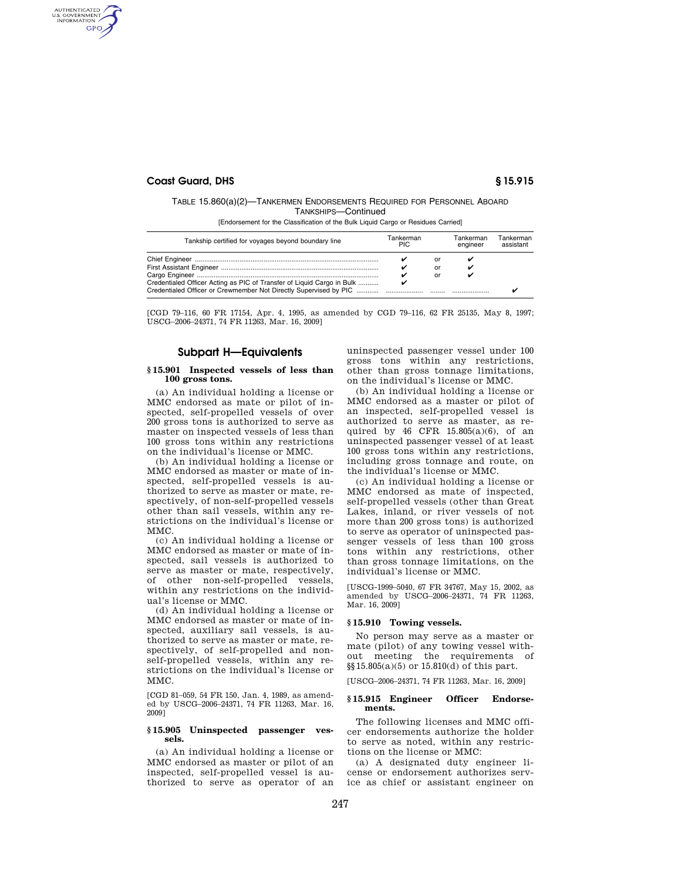## **Coast Guard, DHS § 15.915**

AUTHENTICATED<br>U.S. GOVERNMENT<br>INFORMATION **GPO** 

## TABLE 15.860(a)(2)—TANKERMEN ENDORSEMENTS REQUIRED FOR PERSONNEL ABOARD TANKSHIPS—Continued

[Endorsement for the Classification of the Bulk Liquid Cargo or Residues Carried]

| Tankship certified for voyages beyond boundary line                    | Tankerman<br><b>PIC</b> |                | Tankerman<br>engineer | Tankerman<br>assistant |
|------------------------------------------------------------------------|-------------------------|----------------|-----------------------|------------------------|
|                                                                        |                         | or<br>or<br>or |                       |                        |
| Credentialed Officer Acting as PIC of Transfer of Liquid Cargo in Bulk |                         |                |                       |                        |

[CGD 79–116, 60 FR 17154, Apr. 4, 1995, as amended by CGD 79–116, 62 FR 25135, May 8, 1997; USCG–2006–24371, 74 FR 11263, Mar. 16, 2009]

# **Subpart H—Equivalents**

#### **§ 15.901 Inspected vessels of less than 100 gross tons.**

(a) An individual holding a license or MMC endorsed as mate or pilot of inspected, self-propelled vessels of over 200 gross tons is authorized to serve as master on inspected vessels of less than 100 gross tons within any restrictions on the individual's license or MMC.

(b) An individual holding a license or MMC endorsed as master or mate of inspected, self-propelled vessels is authorized to serve as master or mate, respectively, of non-self-propelled vessels other than sail vessels, within any restrictions on the individual's license or MMC.

(c) An individual holding a license or MMC endorsed as master or mate of inspected, sail vessels is authorized to serve as master or mate, respectively, of other non-self-propelled vessels, within any restrictions on the individual's license or MMC.

(d) An individual holding a license or MMC endorsed as master or mate of inspected, auxiliary sail vessels, is authorized to serve as master or mate, respectively, of self-propelled and nonself-propelled vessels, within any restrictions on the individual's license or MMC.

[CGD 81–059, 54 FR 150, Jan. 4, 1989, as amended by USCG–2006–24371, 74 FR 11263, Mar. 16, 2009]

#### **§ 15.905 Uninspected passenger vessels.**

(a) An individual holding a license or MMC endorsed as master or pilot of an inspected, self-propelled vessel is authorized to serve as operator of an

uninspected passenger vessel under 100 gross tons within any restrictions, other than gross tonnage limitations, on the individual's license or MMC.

(b) An individual holding a license or MMC endorsed as a master or pilot of an inspected, self-propelled vessel is authorized to serve as master, as required by 46 CFR 15.805(a)(6), of an uninspected passenger vessel of at least 100 gross tons within any restrictions, including gross tonnage and route, on the individual's license or MMC.

(c) An individual holding a license or MMC endorsed as mate of inspected, self-propelled vessels (other than Great Lakes, inland, or river vessels of not more than 200 gross tons) is authorized to serve as operator of uninspected passenger vessels of less than 100 gross tons within any restrictions, other than gross tonnage limitations, on the individual's license or MMC.

[USCG-1999–5040, 67 FR 34767, May 15, 2002, as amended by USCG–2006–24371, 74 FR 11263, Mar. 16, 2009]

#### **§ 15.910 Towing vessels.**

No person may serve as a master or mate (pilot) of any towing vessel without meeting the requirements of §§15.805(a)(5) or 15.810(d) of this part.

[USCG–2006–24371, 74 FR 11263, Mar. 16, 2009]

#### **§ 15.915 Engineer Officer Endorsements.**

The following licenses and MMC officer endorsements authorize the holder to serve as noted, within any restrictions on the license or MMC:

(a) A designated duty engineer license or endorsement authorizes service as chief or assistant engineer on